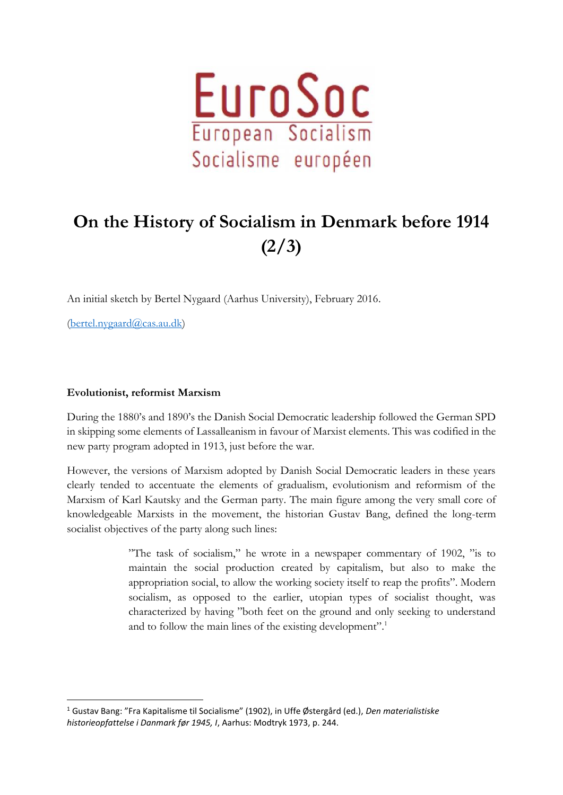

## **On the History of Socialism in Denmark before 1914 (2/3)**

An initial sketch by Bertel Nygaard (Aarhus University), February 2016.

[\(bertel.nygaard@cas.au.dk\)](mailto:bertel.nygaard@cas.au.dk)

1

## **Evolutionist, reformist Marxism**

During the 1880's and 1890's the Danish Social Democratic leadership followed the German SPD in skipping some elements of Lassalleanism in favour of Marxist elements. This was codified in the new party program adopted in 1913, just before the war.

However, the versions of Marxism adopted by Danish Social Democratic leaders in these years clearly tended to accentuate the elements of gradualism, evolutionism and reformism of the Marxism of Karl Kautsky and the German party. The main figure among the very small core of knowledgeable Marxists in the movement, the historian Gustav Bang, defined the long-term socialist objectives of the party along such lines:

> "The task of socialism," he wrote in a newspaper commentary of 1902, "is to maintain the social production created by capitalism, but also to make the appropriation social, to allow the working society itself to reap the profits". Modern socialism, as opposed to the earlier, utopian types of socialist thought, was characterized by having "both feet on the ground and only seeking to understand and to follow the main lines of the existing development".<sup>1</sup>

<sup>1</sup> Gustav Bang: "Fra Kapitalisme til Socialisme" (1902), in Uffe Østergård (ed.), *Den materialistiske historieopfattelse i Danmark før 1945, I*, Aarhus: Modtryk 1973, p. 244.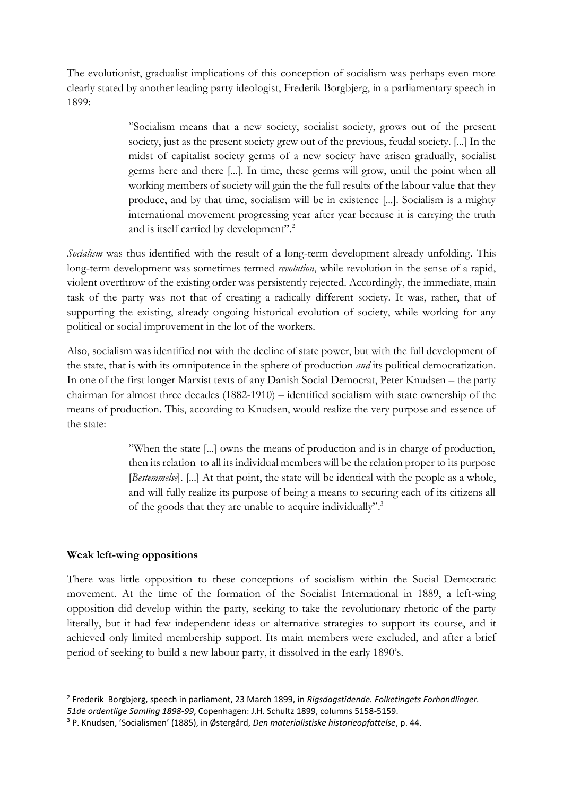The evolutionist, gradualist implications of this conception of socialism was perhaps even more clearly stated by another leading party ideologist, Frederik Borgbjerg, in a parliamentary speech in 1899:

> "Socialism means that a new society, socialist society, grows out of the present society, just as the present society grew out of the previous, feudal society. [...] In the midst of capitalist society germs of a new society have arisen gradually, socialist germs here and there [...]. In time, these germs will grow, until the point when all working members of society will gain the the full results of the labour value that they produce, and by that time, socialism will be in existence [...]. Socialism is a mighty international movement progressing year after year because it is carrying the truth and is itself carried by development".<sup>2</sup>

*Socialism* was thus identified with the result of a long-term development already unfolding. This long-term development was sometimes termed *revolution*, while revolution in the sense of a rapid, violent overthrow of the existing order was persistently rejected. Accordingly, the immediate, main task of the party was not that of creating a radically different society. It was, rather, that of supporting the existing, already ongoing historical evolution of society, while working for any political or social improvement in the lot of the workers.

Also, socialism was identified not with the decline of state power, but with the full development of the state, that is with its omnipotence in the sphere of production *and* its political democratization. In one of the first longer Marxist texts of any Danish Social Democrat, Peter Knudsen – the party chairman for almost three decades (1882-1910) – identified socialism with state ownership of the means of production. This, according to Knudsen, would realize the very purpose and essence of the state:

> "When the state [...] owns the means of production and is in charge of production, then its relation to all its individual members will be the relation proper to its purpose [*Bestemmelse*]. [...] At that point, the state will be identical with the people as a whole, and will fully realize its purpose of being a means to securing each of its citizens all of the goods that they are unable to acquire individually".<sup>3</sup>

## **Weak left-wing oppositions**

**.** 

There was little opposition to these conceptions of socialism within the Social Democratic movement. At the time of the formation of the Socialist International in 1889, a left-wing opposition did develop within the party, seeking to take the revolutionary rhetoric of the party literally, but it had few independent ideas or alternative strategies to support its course, and it achieved only limited membership support. Its main members were excluded, and after a brief period of seeking to build a new labour party, it dissolved in the early 1890's.

<sup>2</sup> Frederik Borgbjerg, speech in parliament, 23 March 1899, in *Rigsdagstidende. Folketingets Forhandlinger.* 

*<sup>51</sup>de ordentlige Samling 1898-99*, Copenhagen: J.H. Schultz 1899, columns 5158-5159.

<sup>3</sup> P. Knudsen, 'Socialismen' (1885), in Østergård, *Den materialistiske historieopfattelse*, p. 44.